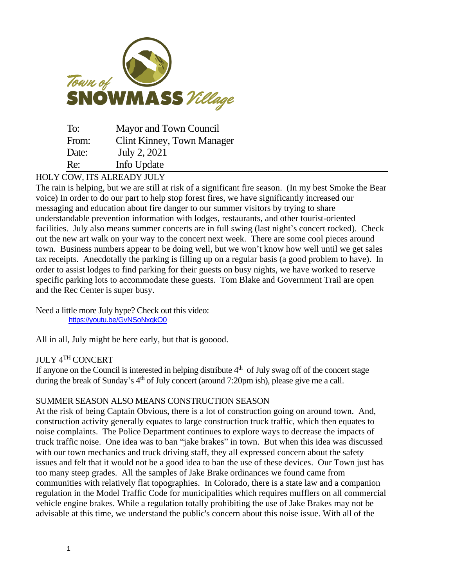

| To:   | Mayor and Town Council     |
|-------|----------------------------|
| From: | Clint Kinney, Town Manager |
| Date: | July 2, 2021               |
| Re:   | Info Update                |

### HOLY COW, ITS ALREADY JULY

The rain is helping, but we are still at risk of a significant fire season. (In my best Smoke the Bear voice) In order to do our part to help stop forest fires, we have significantly increased our messaging and education about fire danger to our summer visitors by trying to share understandable prevention information with lodges, restaurants, and other tourist-oriented facilities. July also means summer concerts are in full swing (last night's concert rocked). Check out the new art walk on your way to the concert next week. There are some cool pieces around town. Business numbers appear to be doing well, but we won't know how well until we get sales tax receipts. Anecdotally the parking is filling up on a regular basis (a good problem to have). In order to assist lodges to find parking for their guests on busy nights, we have worked to reserve specific parking lots to accommodate these guests. Tom Blake and Government Trail are open and the Rec Center is super busy.

Need a little more July hype? Check out this video: <https://youtu.be/GvNSoNxqkO0>

All in all, July might be here early, but that is gooood.

# JULY 4TH CONCERT

If anyone on the Council is interested in helping distribute  $4<sup>th</sup>$  of July swag off of the concert stage during the break of Sunday's 4<sup>th</sup> of July concert (around 7:20pm ish), please give me a call.

# SUMMER SEASON ALSO MEANS CONSTRUCTION SEASON

At the risk of being Captain Obvious, there is a lot of construction going on around town. And, construction activity generally equates to large construction truck traffic, which then equates to noise complaints. The Police Department continues to explore ways to decrease the impacts of truck traffic noise. One idea was to ban "jake brakes" in town. But when this idea was discussed with our town mechanics and truck driving staff, they all expressed concern about the safety issues and felt that it would not be a good idea to ban the use of these devices. Our Town just has too many steep grades. All the samples of Jake Brake ordinances we found came from communities with relatively flat topographies. In Colorado, there is a state law and a companion regulation in the Model Traffic Code for municipalities which requires mufflers on all commercial vehicle engine brakes. While a regulation totally prohibiting the use of Jake Brakes may not be advisable at this time, we understand the public's concern about this noise issue. With all of the